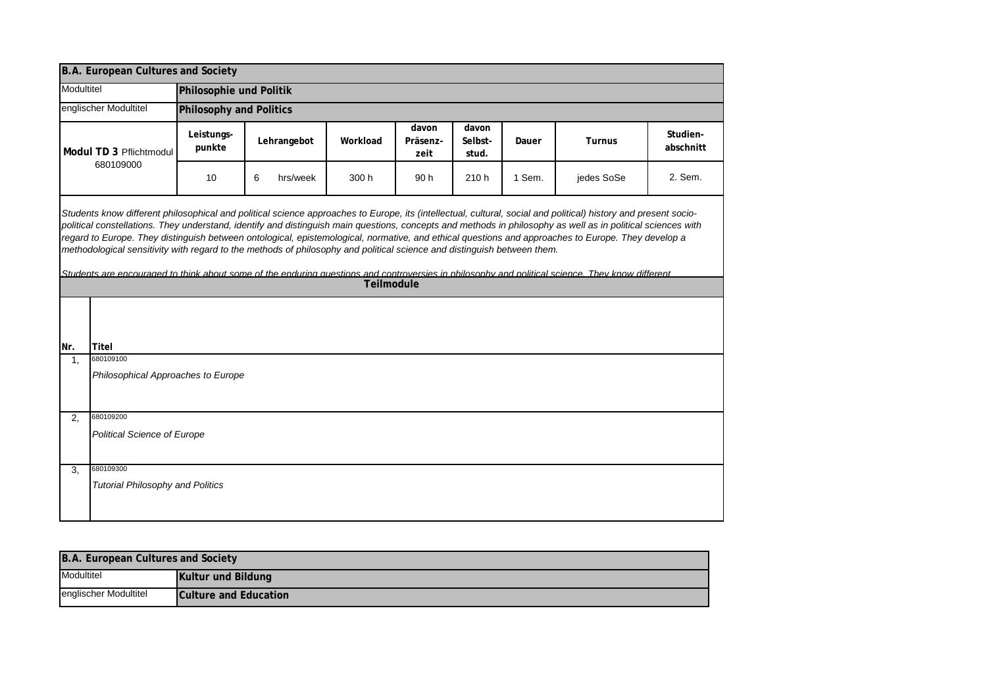|                                                                                                                                                                                                                                                                                                                                                                                                                                                                                                                                                                                                                                                                                                                                                                      | B.A. European Cultures and Society      |                         |               |            |                           |                           |        |               |                       |  |  |
|----------------------------------------------------------------------------------------------------------------------------------------------------------------------------------------------------------------------------------------------------------------------------------------------------------------------------------------------------------------------------------------------------------------------------------------------------------------------------------------------------------------------------------------------------------------------------------------------------------------------------------------------------------------------------------------------------------------------------------------------------------------------|-----------------------------------------|-------------------------|---------------|------------|---------------------------|---------------------------|--------|---------------|-----------------------|--|--|
| Modultitel                                                                                                                                                                                                                                                                                                                                                                                                                                                                                                                                                                                                                                                                                                                                                           |                                         | Philosophie und Politik |               |            |                           |                           |        |               |                       |  |  |
| englischer Modultitel                                                                                                                                                                                                                                                                                                                                                                                                                                                                                                                                                                                                                                                                                                                                                |                                         | Philosophy and Politics |               |            |                           |                           |        |               |                       |  |  |
| Modul TD 3 Pflichtmodul<br>680109000                                                                                                                                                                                                                                                                                                                                                                                                                                                                                                                                                                                                                                                                                                                                 |                                         | Leistungs-<br>punkte    | Lehrangebot   | Workload   | davon<br>Präsenz-<br>zeit | davon<br>Selbst-<br>stud. | Dauer  | <b>Turnus</b> | Studien-<br>abschnitt |  |  |
|                                                                                                                                                                                                                                                                                                                                                                                                                                                                                                                                                                                                                                                                                                                                                                      |                                         | 10                      | 6<br>hrs/week | 300 h      | 90 h                      | 210h                      | 1 Sem. | jedes SoSe    | 2. Sem.               |  |  |
| Students know different philosophical and political science approaches to Europe, its (intellectual, cultural, social and political) history and present socio-<br>political constellations. They understand, identify and distinguish main questions, concepts and methods in philosophy as well as in political sciences with<br>regard to Europe. They distinguish between ontological, epistemological, normative, and ethical questions and approaches to Europe. They develop a<br>methodological sensitivity with regard to the methods of philosophy and political science and distinguish between them.<br>Students are encouraged to think about some of the enduring questions and controversies in philosophy and political science. They know different |                                         |                         |               |            |                           |                           |        |               |                       |  |  |
|                                                                                                                                                                                                                                                                                                                                                                                                                                                                                                                                                                                                                                                                                                                                                                      |                                         |                         |               | Teilmodule |                           |                           |        |               |                       |  |  |
| Nr.                                                                                                                                                                                                                                                                                                                                                                                                                                                                                                                                                                                                                                                                                                                                                                  | <b>Titel</b>                            |                         |               |            |                           |                           |        |               |                       |  |  |
| 1.                                                                                                                                                                                                                                                                                                                                                                                                                                                                                                                                                                                                                                                                                                                                                                   | 680109100                               |                         |               |            |                           |                           |        |               |                       |  |  |
|                                                                                                                                                                                                                                                                                                                                                                                                                                                                                                                                                                                                                                                                                                                                                                      | Philosophical Approaches to Europe      |                         |               |            |                           |                           |        |               |                       |  |  |
| 2.                                                                                                                                                                                                                                                                                                                                                                                                                                                                                                                                                                                                                                                                                                                                                                   | 680109200                               |                         |               |            |                           |                           |        |               |                       |  |  |
|                                                                                                                                                                                                                                                                                                                                                                                                                                                                                                                                                                                                                                                                                                                                                                      | <b>Political Science of Europe</b>      |                         |               |            |                           |                           |        |               |                       |  |  |
| 3 <sub>1</sub>                                                                                                                                                                                                                                                                                                                                                                                                                                                                                                                                                                                                                                                                                                                                                       | 680109300                               |                         |               |            |                           |                           |        |               |                       |  |  |
|                                                                                                                                                                                                                                                                                                                                                                                                                                                                                                                                                                                                                                                                                                                                                                      | <b>Tutorial Philosophy and Politics</b> |                         |               |            |                           |                           |        |               |                       |  |  |

| B.A. European Cultures and Society |                       |  |  |  |  |
|------------------------------------|-----------------------|--|--|--|--|
| Modultitel                         | Kultur und Bildung    |  |  |  |  |
| englischer Modultitel              | Culture and Education |  |  |  |  |